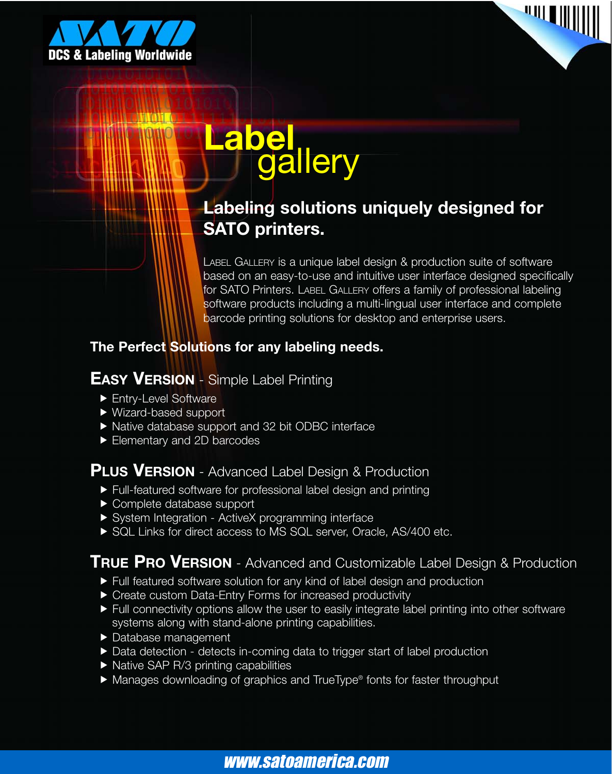



# **Label** gallery

#### **Labeling solutions uniquely designed for SATO printers.**

LABEL GALLERY is a unique label design & production suite of software based on an easy-to-use and intuitive user interface designed specifically for SATO Printers. LABEL GALLERY offers a family of professional labeling software products including a multi-lingual user interface and complete barcode printing solutions for desktop and enterprise users.

#### **The Perfect Solutions for any labeling needs.**

#### **EASY VERSION** - Simple Label Printing

- **Filtry-Level Software**
- $\blacktriangleright$  Wizard-based support
- Native database support and 32 bit ODBC interface
- Elementary and 2D barcodes

#### **PLUS VERSION** - Advanced Label Design & Production

- **Full-featured software for professional label design and printing**
- $\blacktriangleright$  Complete database support
- ▶ System Integration ActiveX programming interface
- SQL Links for direct access to MS SQL server, Oracle, AS/400 etc.

#### **TRUE PRO VERSION** - Advanced and Customizable Label Design & Production

- **Full featured software solution for any kind of label design and production**
- ▶ Create custom Data-Entry Forms for increased productivity
- $\blacktriangleright$  Full connectivity options allow the user to easily integrate label printing into other software systems along with stand-alone printing capabilities.
- ▶ Database management
- Data detection detects in-coming data to trigger start of label production
- $\blacktriangleright$  Native SAP R/3 printing capabilities
- ▶ Manages downloading of graphics and TrueType® fonts for faster throughput

### www.satoamerica.com